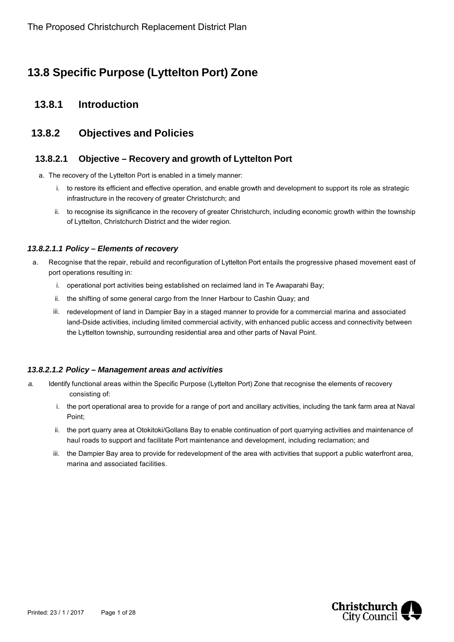# **13.8 Specific Purpose (Lyttelton Port) Zone**

## **13.8.1 Introduction**

## **13.8.2 Objectives and Policies**

### **13.8.2.1 Objective – Recovery and growth of Lyttelton Port**

- a. The recovery of the Lyttelton Port is enabled in a timely manner:
	- i. to restore its efficient and effective operation, and enable growth and development to support its role as strategic infrastructure in the recovery of greater Christchurch; and
	- ii. to recognise its significance in the recovery of greater Christchurch, including economic growth within the township of Lyttelton, Christchurch District and the wider region.

#### *13.8.2.1.1 Policy – Elements of recovery*

- a. Recognise that the repair, rebuild and reconfiguration of Lyttelton Port entails the progressive phased movement east of port operations resulting in:
	- i. operational port activities being established on reclaimed land in Te Awaparahi Bay;
	- ii. the shifting of some general cargo from the Inner Harbour to Cashin Quay; and
	- iii. redevelopment of land in Dampier Bay in a staged manner to provide for a commercial marina and associated land-Dside activities, including limited commercial activity, with enhanced public access and connectivity between the Lyttelton township, surrounding residential area and other parts of Naval Point.

#### *13.8.2.1.2 Policy – Management areas and activities*

- *a.* Identify functional areas within the Specific Purpose (Lyttelton Port) Zone that recognise the elements of recovery consisting of:
	- i. the port operational area to provide for a range of port and ancillary activities, including the tank farm area at Naval Point;
	- ii. the port quarry area at Otokitoki/Gollans Bay to enable continuation of port quarrying activities and maintenance of haul roads to support and facilitate Port maintenance and development, including reclamation; and
	- iii. the Dampier Bay area to provide for redevelopment of the area with activities that support a public waterfront area, marina and associated facilities.

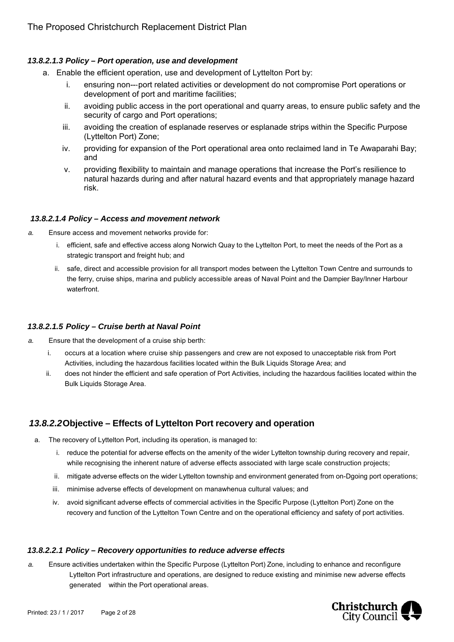### *13.8.2.1.3 Policy – Port operation, use and development*

- a. Enable the efficient operation, use and development of Lyttelton Port by:
	- i. ensuring non---port related activities or development do not compromise Port operations or development of port and maritime facilities;
	- ii. avoiding public access in the port operational and quarry areas, to ensure public safety and the security of cargo and Port operations:
	- iii. avoiding the creation of esplanade reserves or esplanade strips within the Specific Purpose (Lyttelton Port) Zone;
	- iv. providing for expansion of the Port operational area onto reclaimed land in Te Awaparahi Bay; and
	- v. providing flexibility to maintain and manage operations that increase the Port's resilience to natural hazards during and after natural hazard events and that appropriately manage hazard risk.

#### *13.8.2.1.4 Policy – Access and movement network*

- *a.* Ensure access and movement networks provide for:
	- i. efficient, safe and effective access along Norwich Quay to the Lyttelton Port, to meet the needs of the Port as a strategic transport and freight hub; and
	- ii. safe, direct and accessible provision for all transport modes between the Lyttelton Town Centre and surrounds to the ferry, cruise ships, marina and publicly accessible areas of Naval Point and the Dampier Bay/Inner Harbour waterfront.

#### *13.8.2.1.5 Policy – Cruise berth at Naval Point*

- *a.* Ensure that the development of a cruise ship berth:
	- i. occurs at a location where cruise ship passengers and crew are not exposed to unacceptable risk from Port Activities, including the hazardous facilities located within the Bulk Liquids Storage Area; and
	- ii. does not hinder the efficient and safe operation of Port Activities, including the hazardous facilities located within the Bulk Liquids Storage Area.

## *13.8.2.2* **Objective – Effects of Lyttelton Port recovery and operation**

- a. The recovery of Lyttelton Port, including its operation, is managed to:
	- i. reduce the potential for adverse effects on the amenity of the wider Lyttelton township during recovery and repair, while recognising the inherent nature of adverse effects associated with large scale construction projects;
	- ii. mitigate adverse effects on the wider Lyttelton township and environment generated from on-Dgoing port operations;
	- iii. minimise adverse effects of development on manawhenua cultural values; and
	- iv. avoid significant adverse effects of commercial activities in the Specific Purpose (Lyttelton Port) Zone on the recovery and function of the Lyttelton Town Centre and on the operational efficiency and safety of port activities.

#### *13.8.2.2.1 Policy – Recovery opportunities to reduce adverse effects*

*a.* Ensure activities undertaken within the Specific Purpose (Lyttelton Port) Zone, including to enhance and reconfigure Lyttelton Port infrastructure and operations, are designed to reduce existing and minimise new adverse effects generated within the Port operational areas.

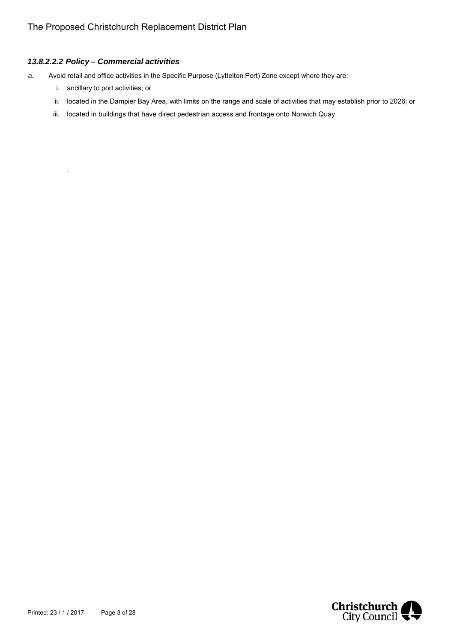### *13.8.2.2.2 Policy – Commercial activities*

- *a.* Avoid retail and office activities in the Specific Purpose (Lyttelton Port) Zone except where they are:
	- i. ancillary to port activities; or

.

- ii. located in the Dampier Bay Area, with limits on the range and scale of activities that may establish prior to 2026; or
- iii. located in buildings that have direct pedestrian access and frontage onto Norwich Quay

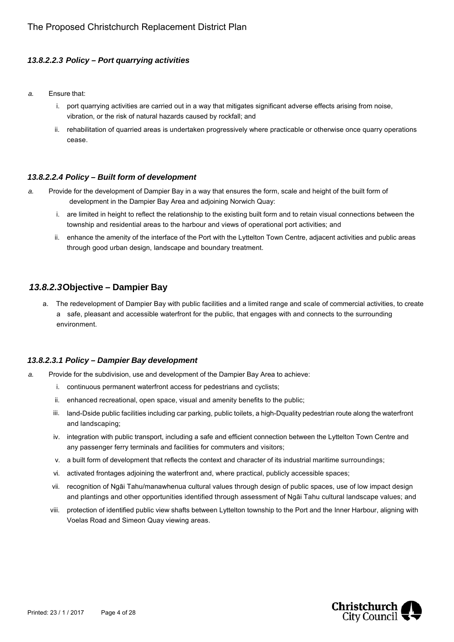### *13.8.2.2.3 Policy – Port quarrying activities*

- *a.* Ensure that:
	- i. port quarrying activities are carried out in a way that mitigates significant adverse effects arising from noise, vibration, or the risk of natural hazards caused by rockfall; and
	- ii. rehabilitation of quarried areas is undertaken progressively where practicable or otherwise once quarry operations cease.

#### *13.8.2.2.4 Policy – Built form of development*

- *a.* Provide for the development of Dampier Bay in a way that ensures the form, scale and height of the built form of development in the Dampier Bay Area and adjoining Norwich Quay:
	- i. are limited in height to reflect the relationship to the existing built form and to retain visual connections between the township and residential areas to the harbour and views of operational port activities; and
	- ii. enhance the amenity of the interface of the Port with the Lyttelton Town Centre, adjacent activities and public areas through good urban design, landscape and boundary treatment.

## *13.8.2.3* **Objective – Dampier Bay**

a. The redevelopment of Dampier Bay with public facilities and a limited range and scale of commercial activities, to create a safe, pleasant and accessible waterfront for the public, that engages with and connects to the surrounding environment.

#### *13.8.2.3.1 Policy – Dampier Bay development*

- *a.* Provide for the subdivision, use and development of the Dampier Bay Area to achieve:
	- i. continuous permanent waterfront access for pedestrians and cyclists;
	- ii. enhanced recreational, open space, visual and amenity benefits to the public;
	- iii. land-Dside public facilities including car parking, public toilets, a high-Dquality pedestrian route along the waterfront and landscaping;
	- iv. integration with public transport, including a safe and efficient connection between the Lyttelton Town Centre and any passenger ferry terminals and facilities for commuters and visitors;
	- v. a built form of development that reflects the context and character of its industrial maritime surroundings;
	- vi. activated frontages adjoining the waterfront and, where practical, publicly accessible spaces;
	- vii. recognition of Ngāi Tahu/manawhenua cultural values through design of public spaces, use of low impact design and plantings and other opportunities identified through assessment of Ngāi Tahu cultural landscape values; and
	- viii. protection of identified public view shafts between Lyttelton township to the Port and the Inner Harbour, aligning with Voelas Road and Simeon Quay viewing areas.

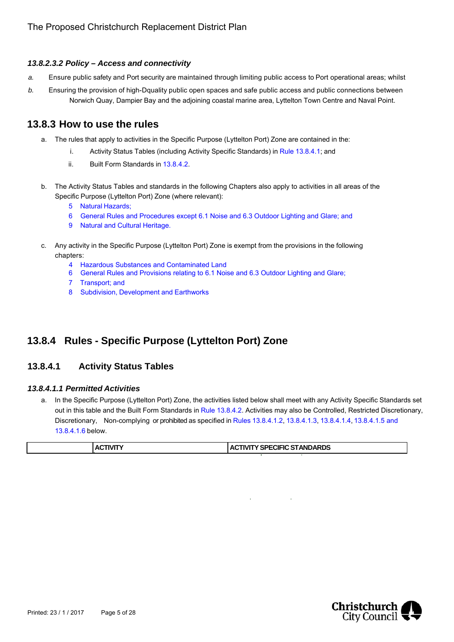#### *13.8.2.3.2 Policy – Access and connectivity*

- *a.* Ensure public safety and Port security are maintained through limiting public access to Port operational areas; whilst
- *b.* Ensuring the provision of high-Dquality public open spaces and safe public access and public connections between Norwich Quay, Dampier Bay and the adjoining coastal marine area, Lyttelton Town Centre and Naval Point.

## **13.8.3 How to use the rules**

- a. The rules that apply to activities in the Specific Purpose (Lyttelton Port) Zone are contained in the:
	- i. Activity Status Tables (including Activity Specific Standards) in Rule 13.8.4.1; and
	- ii. Built Form Standards in 13.8.4.2.
- b. The Activity Status Tables and standards in the following Chapters also apply to activities in all areas of the Specific Purpose (Lyttelton Port) Zone (where relevant):
	- 5 Natural Hazards;
	- 6 General Rules and Procedures except 6.1 Noise and 6.3 Outdoor Lighting and Glare; and
	- 9 Natural and Cultural Heritage.
- c. Any activity in the Specific Purpose (Lyttelton Port) Zone is exempt from the provisions in the following chapters:
	- 4 Hazardous Substances and Contaminated Land
	- 6 General Rules and Provisions relating to 6.1 Noise and 6.3 Outdoor Lighting and Glare;
	- 7 Transport; and
	- 8 Subdivision, Development and Earthworks

# **13.8.4 Rules - Specific Purpose (Lyttelton Port) Zone**

## **13.8.4.1 Activity Status Tables**

#### *13.8.4.1.1 Permitted Activities*

a. In the Specific Purpose (Lyttelton Port) Zone, the activities listed below shall meet with any Activity Specific Standards set out in this table and the Built Form Standards in Rule 13.8.4.2. Activities may also be Controlled, Restricted Discretionary, Discretionary, Non-complying or prohibited as specified in Rules 13.8.4.1.2, 13.8.4.1.3, 13.8.4.1.4, 13.8.4.1.5 and 13.8.4.1.6 below.

| <b>:TIVIT\</b><br>. Ar | <b>ACTIVITY SPECIFIC STANDARDS</b> |
|------------------------|------------------------------------|
|------------------------|------------------------------------|

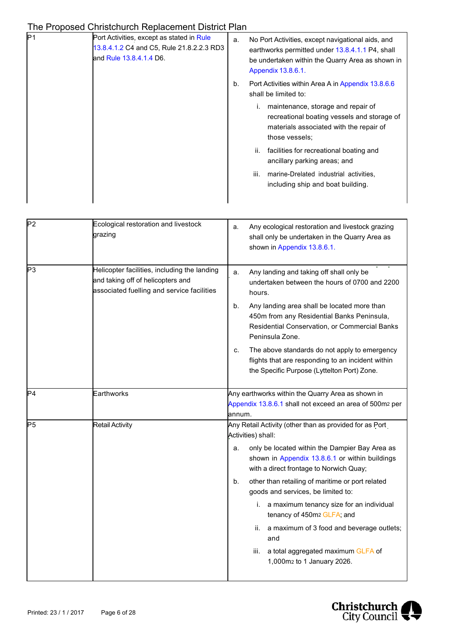| No Port Activities, except navigational aids, and<br>earthworks permitted under 13.8.4.1.1 P4, shall<br>be undertaken within the Quarry Area as shown in<br>Appendix 13.8.6.1. |
|--------------------------------------------------------------------------------------------------------------------------------------------------------------------------------|
| Port Activities within Area A in Appendix 13.8.6.6<br>shall be limited to:                                                                                                     |
| maintenance, storage and repair of<br>recreational boating vessels and storage of<br>materials associated with the repair of<br>those vessels:                                 |
| facilities for recreational boating and<br>ancillary parking areas; and                                                                                                        |
| marine-Drelated industrial activities.<br>including ship and boat building.                                                                                                    |
|                                                                                                                                                                                |

| P <sub>2</sub> | Ecological restoration and livestock<br>grazing                                                                                 | Any ecological restoration and livestock grazing<br>a.<br>shall only be undertaken in the Quarry Area as<br>shown in Appendix 13.8.6.1.                             |
|----------------|---------------------------------------------------------------------------------------------------------------------------------|---------------------------------------------------------------------------------------------------------------------------------------------------------------------|
| P3             | Helicopter facilities, including the landing<br>and taking off of helicopters and<br>associated fuelling and service facilities | Any landing and taking off shall only be<br>a.<br>undertaken between the hours of 0700 and 2200<br>hours.                                                           |
|                |                                                                                                                                 | Any landing area shall be located more than<br>b.<br>450m from any Residential Banks Peninsula,<br>Residential Conservation, or Commercial Banks<br>Peninsula Zone. |
|                |                                                                                                                                 | The above standards do not apply to emergency<br>c.<br>flights that are responding to an incident within<br>the Specific Purpose (Lyttelton Port) Zone.             |
| P4             | Earthworks                                                                                                                      | Any earthworks within the Quarry Area as shown in<br>Appendix 13.8.6.1 shall not exceed an area of 500m2 per<br>annum.                                              |
| P5             | <b>Retail Activity</b>                                                                                                          | Any Retail Activity (other than as provided for as Port<br>Activities) shall:                                                                                       |
|                |                                                                                                                                 | only be located within the Dampier Bay Area as<br>a.<br>shown in Appendix 13.8.6.1 or within buildings<br>with a direct frontage to Norwich Quay;                   |
|                |                                                                                                                                 | other than retailing of maritime or port related<br>b.<br>goods and services, be limited to:                                                                        |
|                |                                                                                                                                 | i. a maximum tenancy size for an individual<br>tenancy of 450m2 GLFA; and                                                                                           |
|                |                                                                                                                                 | a maximum of 3 food and beverage outlets;<br>ii.<br>and                                                                                                             |
|                |                                                                                                                                 | a total aggregated maximum GLFA of<br>iii.<br>1,000m2 to 1 January 2026.                                                                                            |

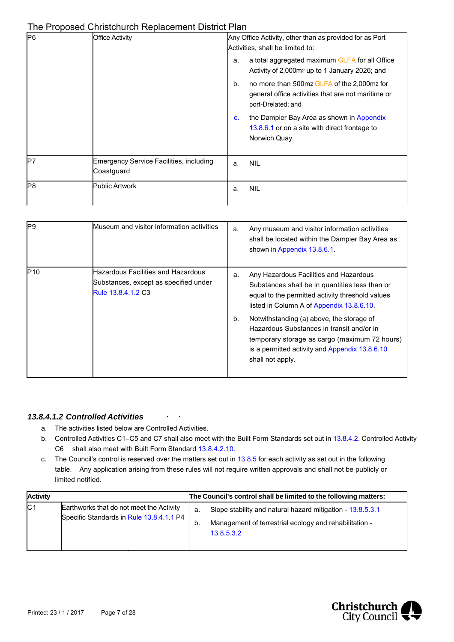| P6 | <b>Office Activity</b>                                | Any Office Activity, other than as provided for as Port<br>Activities, shall be limited to:                                   |  |  |
|----|-------------------------------------------------------|-------------------------------------------------------------------------------------------------------------------------------|--|--|
|    |                                                       | a total aggregated maximum GLFA for all Office<br>a.<br>Activity of 2,000m2 up to 1 January 2026; and                         |  |  |
|    |                                                       | no more than 500m2 GLFA of the 2,000m2 for<br>b.<br>general office activities that are not maritime or<br>port-Drelated; and  |  |  |
|    |                                                       | the Dampier Bay Area as shown in Appendix<br>$\mathbf{c}$ .<br>13.8.6.1 or on a site with direct frontage to<br>Norwich Quay. |  |  |
| P7 | Emergency Service Facilities, including<br>Coastguard | <b>NIL</b><br>a.                                                                                                              |  |  |
| P8 | <b>Public Artwork</b>                                 | <b>NIL</b><br>a.                                                                                                              |  |  |

| <b>P</b> 9 | Museum and visitor information activities                                                         | a.       | Any museum and visitor information activities<br>shall be located within the Dampier Bay Area as<br>shown in Appendix 13.8.6.1.                                                                                                                                                                                                                                                                            |
|------------|---------------------------------------------------------------------------------------------------|----------|------------------------------------------------------------------------------------------------------------------------------------------------------------------------------------------------------------------------------------------------------------------------------------------------------------------------------------------------------------------------------------------------------------|
| P10        | Hazardous Facilities and Hazardous<br>Substances, except as specified under<br>Rule 13.8.4.1.2 C3 | a.<br>b. | Any Hazardous Facilities and Hazardous<br>Substances shall be in quantities less than or<br>equal to the permitted activity threshold values<br>listed in Column A of Appendix 13.8.6.10.<br>Notwithstanding (a) above, the storage of<br>Hazardous Substances in transit and/or in<br>temporary storage as cargo (maximum 72 hours)<br>is a permitted activity and Appendix 13.8.6.10<br>shall not apply. |

#### *13.8.4.1.2 Controlled Activities*

a. The activities listed below are Controlled Activities.

 $\mathbf{r}^{\mathrm{c}}$  $\mathcal{L}_{\mathcal{A}}$ 

- b. Controlled Activities C1–C5 and C7 shall also meet with the Built Form Standards set out in 13.8.4.2. Controlled Activity C6 shall also meet with Built Form Standard 13.8.4.2.10.
- c. The Council's control is reserved over the matters set out in 13.8.5 for each activity as set out in the following table. Any application arising from these rules will not require written approvals and shall not be publicly or limited notified.

| <b>Activity</b> |                                                                                      | The Council's control shall be limited to the following matters: |                                                                                                                                    |  |
|-----------------|--------------------------------------------------------------------------------------|------------------------------------------------------------------|------------------------------------------------------------------------------------------------------------------------------------|--|
| C <sub>1</sub>  | Earthworks that do not meet the Activity<br>Specific Standards in Rule 13.8.4.1.1 P4 | a.<br>b.                                                         | Slope stability and natural hazard mitigation - 13.8.5.3.1<br>Management of terrestrial ecology and rehabilitation -<br>13.8.5.3.2 |  |

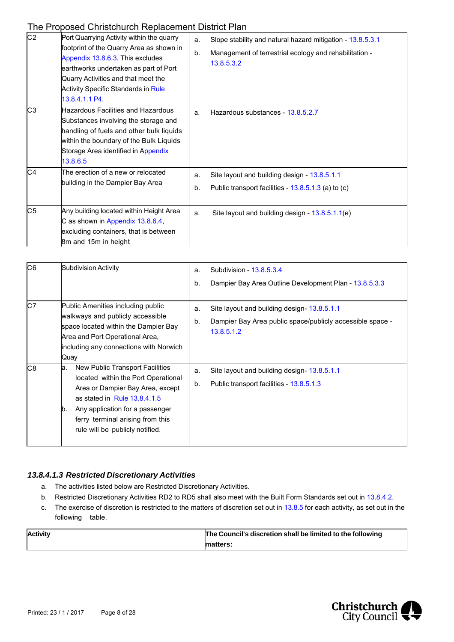| C <sub>2</sub> | Port Quarrying Activity within the quarry<br>footprint of the Quarry Area as shown in<br>Appendix 13.8.6.3. This excludes<br>earthworks undertaken as part of Port<br>Quarry Activities and that meet the<br><b>Activity Specific Standards in Rule</b><br>13.8.4.1.1 P4. | a.<br>b. | Slope stability and natural hazard mitigation - 13.8.5.3.1<br>Management of terrestrial ecology and rehabilitation -<br>13.8.5.3.2 |
|----------------|---------------------------------------------------------------------------------------------------------------------------------------------------------------------------------------------------------------------------------------------------------------------------|----------|------------------------------------------------------------------------------------------------------------------------------------|
| C <sub>3</sub> | Hazardous Facilities and Hazardous<br>Substances involving the storage and<br>handling of fuels and other bulk liquids<br>within the boundary of the Bulk Liquids<br>Storage Area identified in Appendix<br>13.8.6.5                                                      | a.       | Hazardous substances - 13.8.5.2.7                                                                                                  |
| C4             | The erection of a new or relocated<br>building in the Dampier Bay Area                                                                                                                                                                                                    | a.<br>b. | Site layout and building design - 13.8.5.1.1<br>Public transport facilities - 13.8.5.1.3 (a) to (c)                                |
| C <sub>5</sub> | Any building located within Height Area<br>C as shown in Appendix 13.8.6.4,<br>excluding containers, that is between<br>8m and 15m in height                                                                                                                              | a.       | Site layout and building design - 13.8.5.1.1(e)                                                                                    |

| C6       | <b>Subdivision Activity</b>                                                                                                                                                                                                                  | a.<br>b. | Subdivision - 13.8.5.3.4<br>Dampier Bay Area Outline Development Plan - 13.8.5.3.3                                    |
|----------|----------------------------------------------------------------------------------------------------------------------------------------------------------------------------------------------------------------------------------------------|----------|-----------------------------------------------------------------------------------------------------------------------|
| C7<br>C8 | Public Amenities including public<br>walkways and publicly accessible<br>space located within the Dampier Bay<br>Area and Port Operational Area,<br>including any connections with Norwich<br>Quay<br>New Public Transport Facilities<br>la. | a.<br>b. | Site layout and building design-13.8.5.1.1<br>Dampier Bay Area public space/publicly accessible space -<br>13.8.5.1.2 |
|          | located within the Port Operational<br>Area or Dampier Bay Area, except<br>as stated in Rule $13.8.4.1.5$<br>Any application for a passenger<br>ID.<br>ferry terminal arising from this<br>rule will be publicly notified.                   | a.<br>b. | Site layout and building design - 13.8.5.1.1<br>Public transport facilities - 13.8.5.1.3                              |

#### *13.8.4.1.3 Restricted Discretionary Activities*

- a. The activities listed below are Restricted Discretionary Activities.
- b. Restricted Discretionary Activities RD2 to RD5 shall also meet with the Built Form Standards set out in 13.8.4.2.
- c. The exercise of discretion is restricted to the matters of discretion set out in 13.8.5 for each activity, as set out in the following table.

| <b>Activity</b> | The Council's discretion shall be limited to the following |  |  |
|-----------------|------------------------------------------------------------|--|--|
|                 | matters:                                                   |  |  |

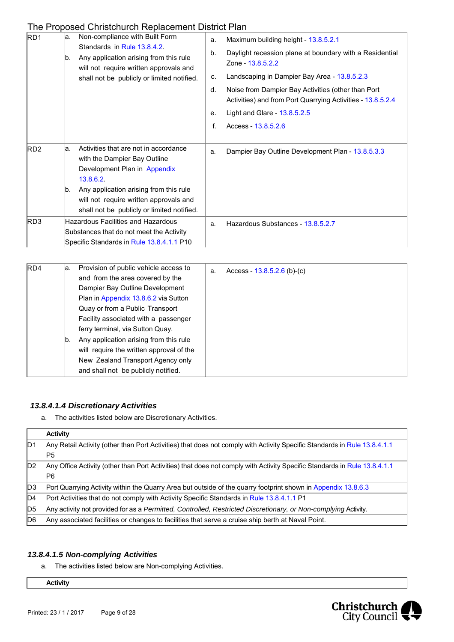| RD1             | la.<br>b. | <u>THE FTODOSED OFINSIONOL INCONSCENTENT DISTINCT RIT</u><br>Non-compliance with Built Form<br>Standards in Rule 13.8.4.2.<br>Any application arising from this rule<br>will not require written approvals and                                                                                                                                                                                                                        | a.<br>b. | Maximum building height - 13.8.5.2.1<br>Daylight recession plane at boundary with a Residential<br>Zone - 13.8.5.2.2 |
|-----------------|-----------|---------------------------------------------------------------------------------------------------------------------------------------------------------------------------------------------------------------------------------------------------------------------------------------------------------------------------------------------------------------------------------------------------------------------------------------|----------|----------------------------------------------------------------------------------------------------------------------|
|                 |           | shall not be publicly or limited notified.                                                                                                                                                                                                                                                                                                                                                                                            | c.<br>d. | Landscaping in Dampier Bay Area - 13.8.5.2.3<br>Noise from Dampier Bay Activities (other than Port                   |
|                 |           |                                                                                                                                                                                                                                                                                                                                                                                                                                       |          | Activities) and from Port Quarrying Activities - 13.8.5.2.4                                                          |
|                 |           |                                                                                                                                                                                                                                                                                                                                                                                                                                       | е.       | Light and Glare - 13.8.5.2.5                                                                                         |
|                 |           |                                                                                                                                                                                                                                                                                                                                                                                                                                       | f.       | Access - 13.8.5.2.6                                                                                                  |
| RD <sub>2</sub> | la.       | Activities that are not in accordance<br>with the Dampier Bay Outline<br>Development Plan in Appendix<br>13.8.6.2.                                                                                                                                                                                                                                                                                                                    | a.       | Dampier Bay Outline Development Plan - 13.8.5.3.3                                                                    |
|                 | b.        | Any application arising from this rule<br>will not require written approvals and<br>shall not be publicly or limited notified.                                                                                                                                                                                                                                                                                                        |          |                                                                                                                      |
| RD3             |           | <b>Hazardous Facilities and Hazardous</b><br>Substances that do not meet the Activity<br>Specific Standards in Rule 13.8.4.1.1 P10                                                                                                                                                                                                                                                                                                    | a.       | Hazardous Substances - 13.8.5.2.7                                                                                    |
| RD4             | la.<br>b. | Provision of public vehicle access to<br>and from the area covered by the<br>Dampier Bay Outline Development<br>Plan in Appendix 13.8.6.2 via Sutton<br>Quay or from a Public Transport<br>Facility associated with a passenger<br>ferry terminal, via Sutton Quay.<br>Any application arising from this rule<br>will require the written approval of the<br>New Zealand Transport Agency only<br>and shall not be publicly notified. | a.       | Access - $13.8.5.2.6$ (b)-(c)                                                                                        |

#### *13.8.4.1.4Discretionary Activities*

a. The activities listed below are Discretionary Activities.

|                | <b>Activity</b>                                                                                                                  |
|----------------|----------------------------------------------------------------------------------------------------------------------------------|
| D <sub>1</sub> | Any Retail Activity (other than Port Activities) that does not comply with Activity Specific Standards in Rule 13.8.4.1.1<br>IP5 |
|                |                                                                                                                                  |
| ID2            | Any Office Activity (other than Port Activities) that does not comply with Activity Specific Standards in Rule 13.8.4.1.1<br>IΡ6 |
| D <sub>3</sub> | Port Quarrying Activity within the Quarry Area but outside of the quarry footprint shown in Appendix 13.8.6.3                    |
| D4             | Port Activities that do not comply with Activity Specific Standards in Rule 13.8.4.1.1 P1                                        |
| D <sub>5</sub> | Any activity not provided for as a Permitted, Controlled, Restricted Discretionary, or Non-complying Activity.                   |
| D <sub>6</sub> | Any associated facilities or changes to facilities that serve a cruise ship berth at Naval Point.                                |

#### *13.8.4.1.5 Non-complying Activities*

a. The activities listed below are Non-complying Activities.

**Activity**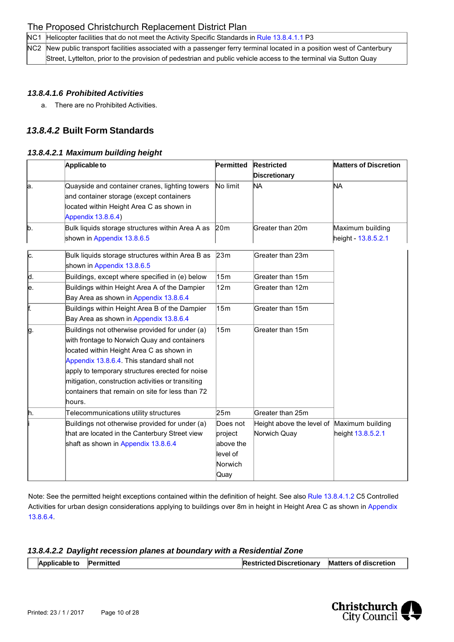NC1 Helicopter facilities that do not meet the Activity Specific Standards in Rule 13.8.4.1.1 P3

NC2 New public transport facilities associated with a passenger ferry terminal located in a position west of Canterbury Street, Lyttelton, prior to the provision of pedestrian and public vehicle access to the terminal via Sutton Quay

#### *13.8.4.1.6 Prohibited Activities*

a. There are no Prohibited Activities.

## *13.8.4.2* **Built Form Standards**

#### *13.8.4.2.1 Maximum building height*

|     | Applicable to                                                                              | Permitted       | <b>Restricted</b>         | <b>Matters of Discretion</b> |
|-----|--------------------------------------------------------------------------------------------|-----------------|---------------------------|------------------------------|
|     |                                                                                            |                 | Discretionary             |                              |
| a.  | Quayside and container cranes, lighting towers<br>and container storage (except containers | No limit        | <b>NA</b>                 | ΝA                           |
|     | located within Height Area C as shown in                                                   |                 |                           |                              |
|     | Appendix 13.8.6.4)                                                                         |                 |                           |                              |
| b.  | Bulk liquids storage structures within Area A as                                           | 20 <sub>m</sub> | Greater than 20m          | Maximum building             |
|     | shown in Appendix 13.8.6.5                                                                 |                 |                           | height - 13.8.5.2.1          |
| c.  | Bulk liquids storage structures within Area B as                                           | 23m             | Greater than 23m          |                              |
|     | shown in Appendix 13.8.6.5                                                                 |                 |                           |                              |
| þ.  | Buildings, except where specified in (e) below                                             | 15m             | Greater than 15m          |                              |
| le. | Buildings within Height Area A of the Dampier                                              | 12m             | Greater than 12m          |                              |
|     | Bay Area as shown in Appendix 13.8.6.4                                                     |                 |                           |                              |
| F.  | Buildings within Height Area B of the Dampier                                              | 15m             | Greater than 15m          |                              |
|     | Bay Area as shown in Appendix 13.8.6.4                                                     |                 |                           |                              |
| þ   | Buildings not otherwise provided for under (a)                                             | 15m             | Greater than 15m          |                              |
|     | with frontage to Norwich Quay and containers                                               |                 |                           |                              |
|     | located within Height Area C as shown in                                                   |                 |                           |                              |
|     | Appendix 13.8.6.4. This standard shall not                                                 |                 |                           |                              |
|     | apply to temporary structures erected for noise                                            |                 |                           |                              |
|     | mitigation, construction activities or transiting                                          |                 |                           |                              |
|     | containers that remain on site for less than 72                                            |                 |                           |                              |
|     | hours.                                                                                     |                 |                           |                              |
| h.  | Telecommunications utility structures                                                      | 25m             | Greater than 25m          |                              |
|     | Buildings not otherwise provided for under (a)                                             | Does not        | Height above the level of | Maximum building             |
|     | that are located in the Canterbury Street view                                             | project         | Norwich Quay              | height 13.8.5.2.1            |
|     | shaft as shown in Appendix 13.8.6.4                                                        | above the       |                           |                              |
|     |                                                                                            | level of        |                           |                              |
|     |                                                                                            | Norwich         |                           |                              |
|     |                                                                                            | Quay            |                           |                              |

Note: See the permitted height exceptions contained within the definition of height. See also Rule 13.8.4.1.2 C5 Controlled Activities for urban design considerations applying to buildings over 8m in height in Height Area C as shown in Appendix 13.8.6.4.

#### *13.8.4.2.2 Daylight recession planes at boundary with a Residential Zone*

| Applicable to Permitted | Restricted Discretionary Matters of discretion |  |
|-------------------------|------------------------------------------------|--|
|-------------------------|------------------------------------------------|--|

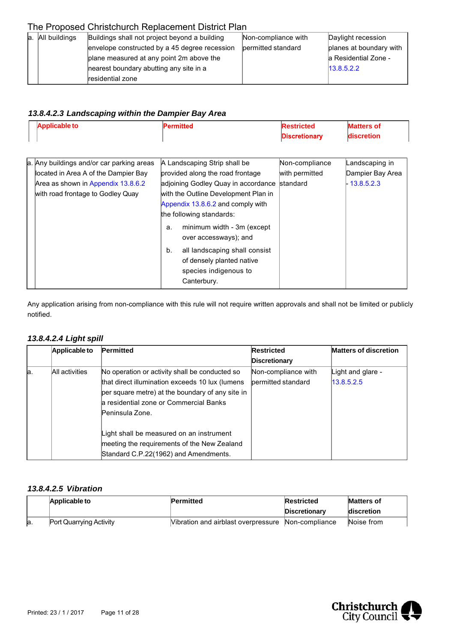| a. All buildings                              | Buildings shall not project beyond a building | Non-compliance with | Daylight recession      |  |
|-----------------------------------------------|-----------------------------------------------|---------------------|-------------------------|--|
| envelope constructed by a 45 degree recession |                                               | bermitted standard  | planes at boundary with |  |
|                                               | plane measured at any point 2m above the      |                     | la Residential Zone -   |  |
| hearest boundary abutting any site in a       |                                               |                     | 13.8.5.2.2              |  |
|                                               | residential zone                              |                     |                         |  |

### *13.8.4.2.3 Landscaping within the Dampier Bay Area*

| <b>Applicable to</b>                      | Permitted                            | <b>Restricted</b>    | <b>Matters of</b> |
|-------------------------------------------|--------------------------------------|----------------------|-------------------|
|                                           |                                      | <b>Discretionary</b> | discretion        |
|                                           |                                      |                      |                   |
| a. Any buildings and/or car parking areas | A Landscaping Strip shall be         | Non-compliance       | Landscaping in    |
| located in Area A of the Dampier Bay      | provided along the road frontage     | with permitted       | Dampier Bay Area  |
| Area as shown in Appendix 13.8.6.2        | adjoining Godley Quay in accordance  | standard             | 13.8.5.2.3        |
| with road frontage to Godley Quay         | with the Outline Development Plan in |                      |                   |
|                                           | Appendix 13.8.6.2 and comply with    |                      |                   |
|                                           | the following standards:             |                      |                   |
|                                           | minimum width - 3m (except<br>а.     |                      |                   |
|                                           | over accessways); and                |                      |                   |
|                                           | all landscaping shall consist<br>b.  |                      |                   |
|                                           | of densely planted native            |                      |                   |
|                                           | species indigenous to                |                      |                   |
|                                           | Canterbury.                          |                      |                   |

Any application arising from non-compliance with this rule will not require written approvals and shall not be limited or publicly notified.

#### *13.8.4.2.4 Light spill*

|     | Applicable to  | Permitted                                        | <b>Restricted</b>    | <b>Matters of discretion</b> |
|-----|----------------|--------------------------------------------------|----------------------|------------------------------|
|     |                |                                                  | <b>Discretionary</b> |                              |
| la. | All activities | No operation or activity shall be conducted so   | Non-compliance with  | Light and glare -            |
|     |                | that direct illumination exceeds 10 lux (lumens  | bermitted standard   | 13.8.5.2.5                   |
|     |                | per square metre) at the boundary of any site in |                      |                              |
|     |                | la residential zone or Commercial Banks          |                      |                              |
|     |                | Peninsula Zone.                                  |                      |                              |
|     |                |                                                  |                      |                              |
|     |                | Light shall be measured on an instrument         |                      |                              |
|     |                | meeting the requirements of the New Zealand      |                      |                              |
|     |                | Standard C.P.22(1962) and Amendments.            |                      |                              |

#### *13.8.4.2.5 Vibration*

|     | Applicable to                  | Permitted                                          | Restricted<br><b>Discretionary</b> | <b>Matters of</b><br>discretion |
|-----|--------------------------------|----------------------------------------------------|------------------------------------|---------------------------------|
| la. | <b>Port Quarrying Activity</b> | Vibration and airblast overpressure Non-compliance |                                    | Noise from                      |

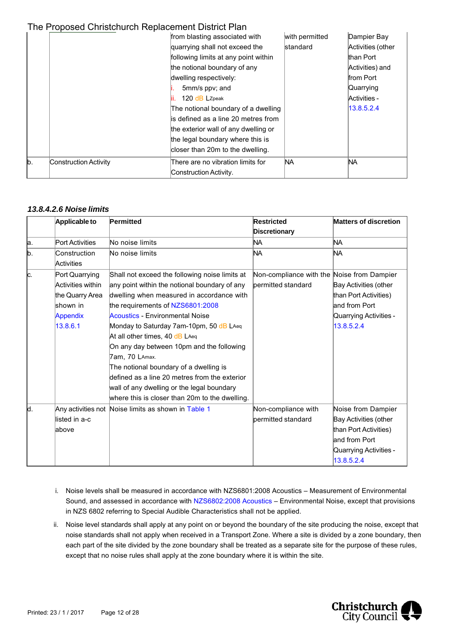|     |                       | from blasting associated with        | with permitted  | Dampier Bay       |
|-----|-----------------------|--------------------------------------|-----------------|-------------------|
|     |                       | quarrying shall not exceed the       | <b>standard</b> | Activities (other |
|     |                       | following limits at any point within |                 | than Port         |
|     |                       | the notional boundary of any         |                 | Activities) and   |
|     |                       | dwelling respectively:               |                 | from Port         |
|     |                       | 5mm/s ppv; and                       |                 | Quarrying         |
|     |                       | 120 dB LZpeak                        |                 | Activities -      |
|     |                       | The notional boundary of a dwelling  |                 | 13.8.5.2.4        |
|     |                       | lis defined as a line 20 metres from |                 |                   |
|     |                       | the exterior wall of any dwelling or |                 |                   |
|     |                       | the legal boundary where this is     |                 |                   |
|     |                       | closer than 20m to the dwelling.     |                 |                   |
| lb. | Construction Activity | There are no vibration limits for    | NA.             | ΝA                |
|     |                       | Construction Activity.               |                 |                   |

#### *13.8.4.2.6 Noise limits*

|     | Applicable to              | Permitted                                           | <b>Restricted</b>                          | <b>Matters of discretion</b> |
|-----|----------------------------|-----------------------------------------------------|--------------------------------------------|------------------------------|
|     |                            |                                                     | <b>Discretionary</b>                       |                              |
| a.  | <b>Port Activities</b>     | No noise limits                                     | NA                                         | NA                           |
| lb. | Construction<br>Activities | No noise limits                                     | İΝA                                        | ΝA                           |
| lc. | Port Quarrying             | Shall not exceed the following noise limits at      | Non-compliance with the Noise from Dampier |                              |
|     | Activities within          | any point within the notional boundary of any       | permitted standard                         | Bay Activities (other        |
|     | the Quarry Area            | dwelling when measured in accordance with           |                                            | than Port Activities)        |
|     | lshown in                  | the requirements of NZS6801:2008                    |                                            | and from Port                |
|     | Appendix                   | Acoustics - Environmental Noise                     |                                            | Quarrying Activities -       |
|     | 13.8.6.1                   | Monday to Saturday 7am-10pm, 50 dB LAeq             |                                            | 13.8.5.2.4                   |
|     |                            | At all other times, 40 dB LAeq                      |                                            |                              |
|     |                            | On any day between 10pm and the following           |                                            |                              |
|     |                            | 7am, 70 LAmax.                                      |                                            |                              |
|     |                            | The notional boundary of a dwelling is              |                                            |                              |
|     |                            | defined as a line 20 metres from the exterior       |                                            |                              |
|     |                            | wall of any dwelling or the legal boundary          |                                            |                              |
|     |                            | where this is closer than 20m to the dwelling.      |                                            |                              |
| ld. |                            | Any activities not Noise limits as shown in Table 1 | Non-compliance with                        | Noise from Dampier           |
|     | llisted in a-c             |                                                     | bermitted standard                         | Bay Activities (other        |
|     | labove                     |                                                     |                                            | than Port Activities)        |
|     |                            |                                                     |                                            | and from Port                |
|     |                            |                                                     |                                            | Quarrying Activities -       |
|     |                            |                                                     |                                            | 13.8.5.2.4                   |

- i. Noise levels shall be measured in accordance with NZS6801:2008 Acoustics Measurement of Environmental Sound, and assessed in accordance with NZS6802:2008 Acoustics – Environmental Noise, except that provisions in NZS 6802 referring to Special Audible Characteristics shall not be applied.
- ii. Noise level standards shall apply at any point on or beyond the boundary of the site producing the noise, except that noise standards shall not apply when received in a Transport Zone. Where a site is divided by a zone boundary, then each part of the site divided by the zone boundary shall be treated as a separate site for the purpose of these rules, except that no noise rules shall apply at the zone boundary where it is within the site.

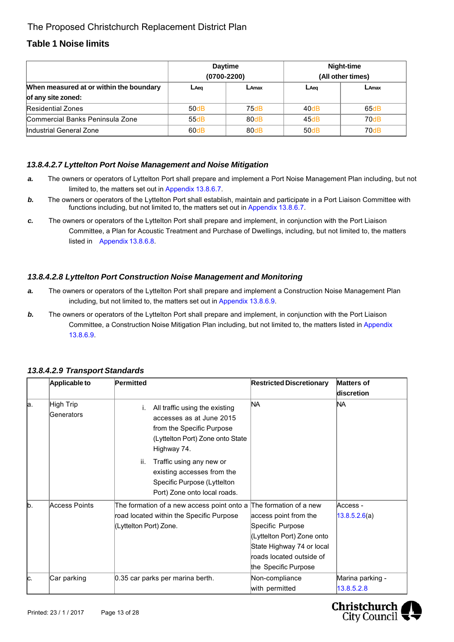## **Table 1 Noise limits**

|                                         | <b>Daytime</b><br>$(0700 - 2200)$ |      | Night-time<br>(All other times) |       |
|-----------------------------------------|-----------------------------------|------|---------------------------------|-------|
| When measured at or within the boundary | LAeq<br>LAmax                     |      | $L$ Aeq                         | LAmax |
| of any site zoned:                      |                                   |      |                                 |       |
| <b>Residential Zones</b>                | 50dB                              | 75dB | 40dB                            | 65dB  |
| <b>Commercial Banks Peninsula Zone</b>  | 55dB                              | 80dB | 45dB                            | 70dB  |
| Industrial General Zone                 | 60dB                              | 80dB | 50dB                            | 70dB  |

#### *13.8.4.2.7 Lyttelton Port Noise Management and Noise Mitigation*

- *a.* The owners or operators of Lyttelton Port shall prepare and implement a Port Noise Management Plan including, but not limited to, the matters set out in Appendix 13.8.6.7.
- **b.** The owners or operators of the Lyttelton Port shall establish, maintain and participate in a Port Liaison Committee with functions including, but not limited to, the matters set out in Appendix 13.8.6.7.
- *c.* The owners or operators of the Lyttelton Port shall prepare and implement, in conjunction with the Port Liaison Committee, a Plan for Acoustic Treatment and Purchase of Dwellings, including, but not limited to, the matters listed in Appendix 13.8.6.8.

#### *13.8.4.2.8 Lyttelton Port Construction Noise Management and Monitoring*

- *a.* The owners or operators of the Lyttelton Port shall prepare and implement a Construction Noise Management Plan including, but not limited to, the matters set out in Appendix 13.8.6.9.
- **b.** The owners or operators of the Lyttelton Port shall prepare and implement, in conjunction with the Port Liaison Committee, a Construction Noise Mitigation Plan including, but not limited to, the matters listed in Appendix 13.8.6.9.

|     | Applicable to           | Permitted                                                                                                                                  | <b>Restricted Discretionary</b>                                                                                                                          | <b>Matters of</b><br>discretion |
|-----|-------------------------|--------------------------------------------------------------------------------------------------------------------------------------------|----------------------------------------------------------------------------------------------------------------------------------------------------------|---------------------------------|
| la. | High Trip<br>Generators | All traffic using the existing<br>accesses as at June 2015<br>from the Specific Purpose<br>(Lyttelton Port) Zone onto State<br>Highway 74. | NA                                                                                                                                                       | NA                              |
|     |                         | ii.<br>Traffic using any new or<br>existing accesses from the<br>Specific Purpose (Lyttelton<br>Port) Zone onto local roads.               |                                                                                                                                                          |                                 |
| b.  | Access Points           | The formation of a new access point onto a The formation of a new<br>road located within the Specific Purpose<br>(Lyttelton Port) Zone.    | access point from the<br>Specific Purpose<br>(Lyttelton Port) Zone onto<br>State Highway 74 or local<br>roads located outside of<br>the Specific Purpose | Access -<br>13.8.5.2.6(a)       |
| IC. | Car parking             | 0.35 car parks per marina berth.                                                                                                           | Non-compliance<br>with permitted                                                                                                                         | Marina parking -<br>13.8.5.2.8  |

#### *13.8.4.2.9 Transport Standards*

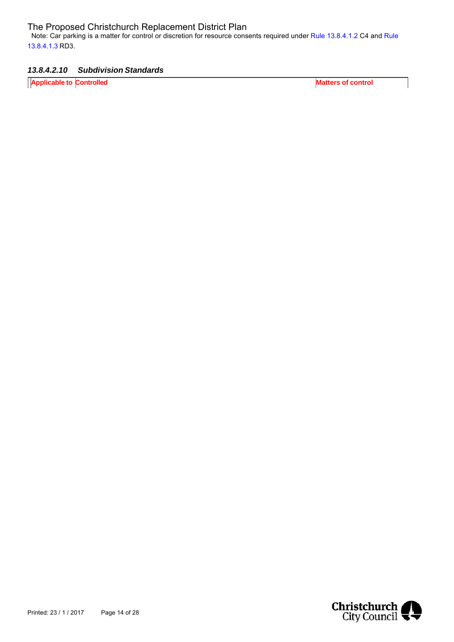Note: Car parking is a matter for control or discretion for resource consents required under Rule 13.8.4.1.2 C4 and Rule 13.8.4.1.3 RD3.

#### *13.8.4.2.10 Subdivision Standards*

**Applicable to Controlled Matters of control** 

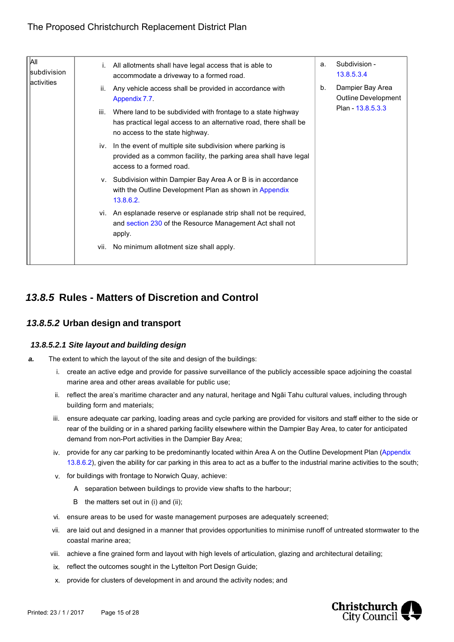| All<br><b>subdivision</b> | All allotments shall have legal access that is able to<br>i.<br>accommodate a driveway to a formed road.                                                                     | Subdivision -<br>a.<br>13.8.5.3.4             |
|---------------------------|------------------------------------------------------------------------------------------------------------------------------------------------------------------------------|-----------------------------------------------|
| activities                | Any vehicle access shall be provided in accordance with<br>ii.<br>Appendix 7.7.                                                                                              | Dampier Bay Area<br>b.<br>Outline Development |
|                           | Where land to be subdivided with frontage to a state highway<br>iii.<br>has practical legal access to an alternative road, there shall be<br>no access to the state highway. | Plan - 13.8.5.3.3                             |
|                           | iv. In the event of multiple site subdivision where parking is<br>provided as a common facility, the parking area shall have legal<br>access to a formed road.               |                                               |
|                           | v. Subdivision within Dampier Bay Area A or B is in accordance<br>with the Outline Development Plan as shown in Appendix<br>13.8.6.2.                                        |                                               |
|                           | vi. An esplanade reserve or esplanade strip shall not be required,<br>and section 230 of the Resource Management Act shall not<br>apply.                                     |                                               |
|                           | vii. No minimum allotment size shall apply.                                                                                                                                  |                                               |

# *13.8.5* **Rules - Matters of Discretion and Control**

## *13.8.5.2* **Urban design and transport**

#### *13.8.5.2.1 Site layout and building design*

- *a.* The extent to which the layout of the site and design of the buildings:
	- i. create an active edge and provide for passive surveillance of the publicly accessible space adjoining the coastal marine area and other areas available for public use;
	- ii. reflect the area's maritime character and any natural, heritage and Ngāi Tahu cultural values, including through building form and materials;
	- iii. ensure adequate car parking, loading areas and cycle parking are provided for visitors and staff either to the side or rear of the building or in a shared parking facility elsewhere within the Dampier Bay Area, to cater for anticipated demand from non-Port activities in the Dampier Bay Area;
	- iv. provide for any car parking to be predominantly located within Area A on the Outline Development Plan (Appendix 13.8.6.2), given the ability for car parking in this area to act as a buffer to the industrial marine activities to the south;
	- v. for buildings with frontage to Norwich Quay, achieve:
		- A separation between buildings to provide view shafts to the harbour;
		- B the matters set out in (i) and (ii);
	- vi. ensure areas to be used for waste management purposes are adequately screened;
	- vii. are laid out and designed in a manner that provides opportunities to minimise runoff of untreated stormwater to the coastal marine area;
	- viii. achieve a fine grained form and layout with high levels of articulation, glazing and architectural detailing;
	- ix. reflect the outcomes sought in the Lyttelton Port Design Guide;
	- x. provide for clusters of development in and around the activity nodes; and

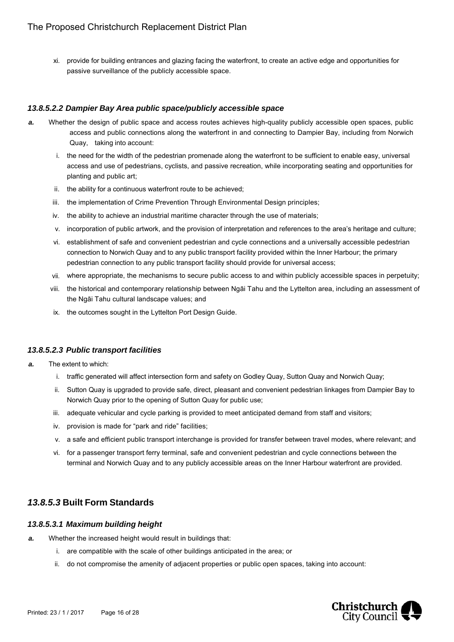xi. provide for building entrances and glazing facing the waterfront, to create an active edge and opportunities for passive surveillance of the publicly accessible space.

#### *13.8.5.2.2 Dampier Bay Area public space/publicly accessible space*

- *a.* Whether the design of public space and access routes achieves high-quality publicly accessible open spaces, public access and public connections along the waterfront in and connecting to Dampier Bay, including from Norwich Quay, taking into account:
	- i. the need for the width of the pedestrian promenade along the waterfront to be sufficient to enable easy, universal access and use of pedestrians, cyclists, and passive recreation, while incorporating seating and opportunities for planting and public art;
	- ii. the ability for a continuous waterfront route to be achieved;
	- iii. the implementation of Crime Prevention Through Environmental Design principles;
	- iv. the ability to achieve an industrial maritime character through the use of materials;
	- v. incorporation of public artwork, and the provision of interpretation and references to the area's heritage and culture;
	- vi. establishment of safe and convenient pedestrian and cycle connections and a universally accessible pedestrian connection to Norwich Quay and to any public transport facility provided within the Inner Harbour; the primary pedestrian connection to any public transport facility should provide for universal access;
	- vii. where appropriate, the mechanisms to secure public access to and within publicly accessible spaces in perpetuity;
	- viii. the historical and contemporary relationship between Ngāi Tahu and the Lyttelton area, including an assessment of the Ngāi Tahu cultural landscape values; and
	- ix. the outcomes sought in the Lyttelton Port Design Guide.

#### *13.8.5.2.3 Public transport facilities*

- *a.* The extent to which:
	- i. traffic generated will affect intersection form and safety on Godley Quay, Sutton Quay and Norwich Quay;
	- ii. Sutton Quay is upgraded to provide safe, direct, pleasant and convenient pedestrian linkages from Dampier Bay to Norwich Quay prior to the opening of Sutton Quay for public use;
	- iii. adequate vehicular and cycle parking is provided to meet anticipated demand from staff and visitors;
	- iv. provision is made for "park and ride" facilities;
	- v. a safe and efficient public transport interchange is provided for transfer between travel modes, where relevant; and
	- vi. for a passenger transport ferry terminal, safe and convenient pedestrian and cycle connections between the terminal and Norwich Quay and to any publicly accessible areas on the Inner Harbour waterfront are provided.

## *13.8.5.3* **Built Form Standards**

#### *13.8.5.3.1 Maximum building height*

- *a.* Whether the increased height would result in buildings that:
	- i. are compatible with the scale of other buildings anticipated in the area; or
	- ii. do not compromise the amenity of adjacent properties or public open spaces, taking into account:

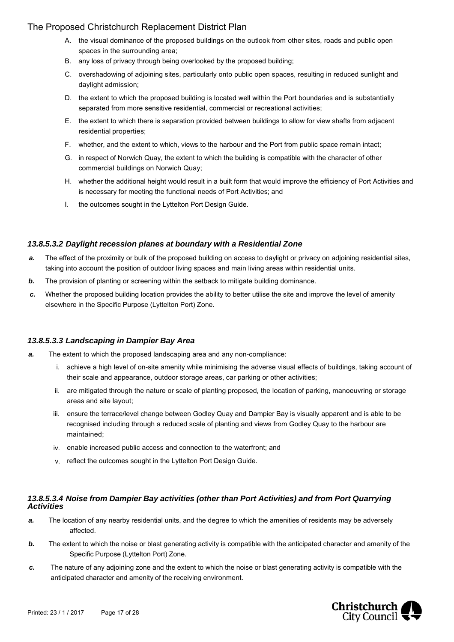- A. the visual dominance of the proposed buildings on the outlook from other sites, roads and public open spaces in the surrounding area;
- B. any loss of privacy through being overlooked by the proposed building;
- C. overshadowing of adjoining sites, particularly onto public open spaces, resulting in reduced sunlight and daylight admission;
- D. the extent to which the proposed building is located well within the Port boundaries and is substantially separated from more sensitive residential, commercial or recreational activities;
- E. the extent to which there is separation provided between buildings to allow for view shafts from adjacent residential properties;
- F. whether, and the extent to which, views to the harbour and the Port from public space remain intact;
- G. in respect of Norwich Quay, the extent to which the building is compatible with the character of other commercial buildings on Norwich Quay;
- H. whether the additional height would result in a built form that would improve the efficiency of Port Activities and is necessary for meeting the functional needs of Port Activities; and
- I. the outcomes sought in the Lyttelton Port Design Guide.

#### *13.8.5.3.2 Daylight recession planes at boundary with a Residential Zone*

- *a.* The effect of the proximity or bulk of the proposed building on access to daylight or privacy on adjoining residential sites, taking into account the position of outdoor living spaces and main living areas within residential units.
- *b.* The provision of planting or screening within the setback to mitigate building dominance.
- *c.* Whether the proposed building location provides the ability to better utilise the site and improve the level of amenity elsewhere in the Specific Purpose (Lyttelton Port) Zone.

#### *13.8.5.3.3 Landscaping in Dampier Bay Area*

- *a.* The extent to which the proposed landscaping area and any non-compliance:
	- i. achieve a high level of on-site amenity while minimising the adverse visual effects of buildings, taking account of their scale and appearance, outdoor storage areas, car parking or other activities;
	- ii. are mitigated through the nature or scale of planting proposed, the location of parking, manoeuvring or storage areas and site layout;
	- iii. ensure the terrace/level change between Godley Quay and Dampier Bay is visually apparent and is able to be recognised including through a reduced scale of planting and views from Godley Quay to the harbour are maintained;
	- iv. enable increased public access and connection to the waterfront; and
	- v. reflect the outcomes sought in the Lyttelton Port Design Guide.

#### *13.8.5.3.4 Noise from Dampier Bay activities (other than Port Activities) and from Port Quarrying Activities*

- *a.* The location of any nearby residential units, and the degree to which the amenities of residents may be adversely affected.
- *b.* The extent to which the noise or blast generating activity is compatible with the anticipated character and amenity of the Specific Purpose (Lyttelton Port) Zone.
- *c.* The nature of any adjoining zone and the extent to which the noise or blast generating activity is compatible with the anticipated character and amenity of the receiving environment.

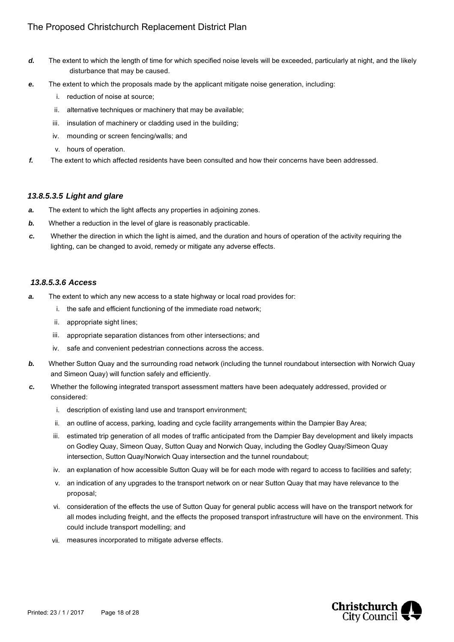- *d.* The extent to which the length of time for which specified noise levels will be exceeded, particularly at night, and the likely disturbance that may be caused.
- *e.* The extent to which the proposals made by the applicant mitigate noise generation, including:
	- i. reduction of noise at source;
	- ii. alternative techniques or machinery that may be available;
	- iii. insulation of machinery or cladding used in the building;
	- iv. mounding or screen fencing/walls; and
	- v. hours of operation.
- *f.* The extent to which affected residents have been consulted and how their concerns have been addressed.

#### *13.8.5.3.5 Light and glare*

- *a.* The extent to which the light affects any properties in adjoining zones.
- **b.** Whether a reduction in the level of glare is reasonably practicable.
- *c.* Whether the direction in which the light is aimed, and the duration and hours of operation of the activity requiring the lighting, can be changed to avoid, remedy or mitigate any adverse effects.

#### *13.8.5.3.6 Access*

- **a.** The extent to which any new access to a state highway or local road provides for:
	- i. the safe and efficient functioning of the immediate road network;
	- ii. appropriate sight lines;
	- iii. appropriate separation distances from other intersections; and
	- iv. safe and convenient pedestrian connections across the access.
- *b.* Whether Sutton Quay and the surrounding road network (including the tunnel roundabout intersection with Norwich Quay and Simeon Quay) will function safely and efficiently.
- *c.* Whether the following integrated transport assessment matters have been adequately addressed, provided or considered:
	- i. description of existing land use and transport environment;
	- ii. an outline of access, parking, loading and cycle facility arrangements within the Dampier Bay Area;
	- iii. estimated trip generation of all modes of traffic anticipated from the Dampier Bay development and likely impacts on Godley Quay, Simeon Quay, Sutton Quay and Norwich Quay, including the Godley Quay/Simeon Quay intersection, Sutton Quay/Norwich Quay intersection and the tunnel roundabout;
	- iv. an explanation of how accessible Sutton Quay will be for each mode with regard to access to facilities and safety;
	- v. an indication of any upgrades to the transport network on or near Sutton Quay that may have relevance to the proposal;
	- vi. consideration of the effects the use of Sutton Quay for general public access will have on the transport network for all modes including freight, and the effects the proposed transport infrastructure will have on the environment. This could include transport modelling; and
	- vii. measures incorporated to mitigate adverse effects.

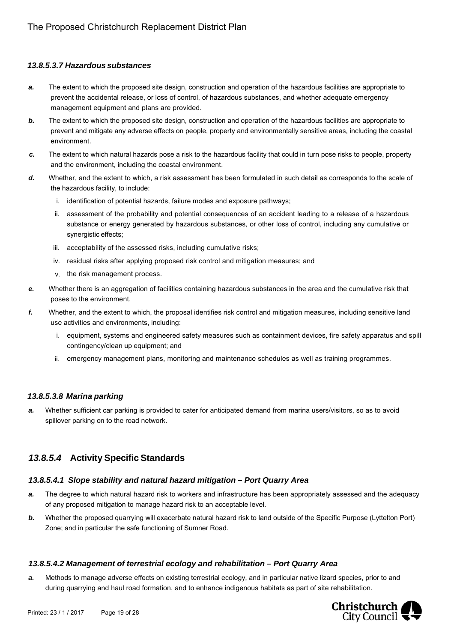#### *13.8.5.3.7 Hazardous substances*

- *a.* The extent to which the proposed site design, construction and operation of the hazardous facilities are appropriate to prevent the accidental release, or loss of control, of hazardous substances, and whether adequate emergency management equipment and plans are provided.
- **b.** The extent to which the proposed site design, construction and operation of the hazardous facilities are appropriate to prevent and mitigate any adverse effects on people, property and environmentally sensitive areas, including the coastal environment.
- *c.* The extent to which natural hazards pose a risk to the hazardous facility that could in turn pose risks to people, property and the environment, including the coastal environment.
- *d.* Whether, and the extent to which, a risk assessment has been formulated in such detail as corresponds to the scale of the hazardous facility, to include:
	- i. identification of potential hazards, failure modes and exposure pathways;
	- ii. assessment of the probability and potential consequences of an accident leading to a release of a hazardous substance or energy generated by hazardous substances, or other loss of control, including any cumulative or synergistic effects;
	- iii. acceptability of the assessed risks, including cumulative risks;
	- iv. residual risks after applying proposed risk control and mitigation measures; and
	- v. the risk management process.
- *e.* Whether there is an aggregation of facilities containing hazardous substances in the area and the cumulative risk that poses to the environment.
- *f.* Whether, and the extent to which, the proposal identifies risk control and mitigation measures, including sensitive land use activities and environments, including:
	- i. equipment, systems and engineered safety measures such as containment devices, fire safety apparatus and spill contingency/clean up equipment; and
	- ii. emergency management plans, monitoring and maintenance schedules as well as training programmes.

#### *13.8.5.3.8 Marina parking*

*a.* Whether sufficient car parking is provided to cater for anticipated demand from marina users/visitors, so as to avoid spillover parking on to the road network.

## *13.8.5.4* **Activity Specific Standards**

#### *13.8.5.4.1 Slope stability and natural hazard mitigation – Port Quarry Area*

- *a.* The degree to which natural hazard risk to workers and infrastructure has been appropriately assessed and the adequacy of any proposed mitigation to manage hazard risk to an acceptable level.
- *b.* Whether the proposed quarrying will exacerbate natural hazard risk to land outside of the Specific Purpose (Lyttelton Port) Zone; and in particular the safe functioning of Sumner Road.

#### *13.8.5.4.2 Management of terrestrial ecology and rehabilitation – Port Quarry Area*

*a.* Methods to manage adverse effects on existing terrestrial ecology, and in particular native lizard species, prior to and during quarrying and haul road formation, and to enhance indigenous habitats as part of site rehabilitation.

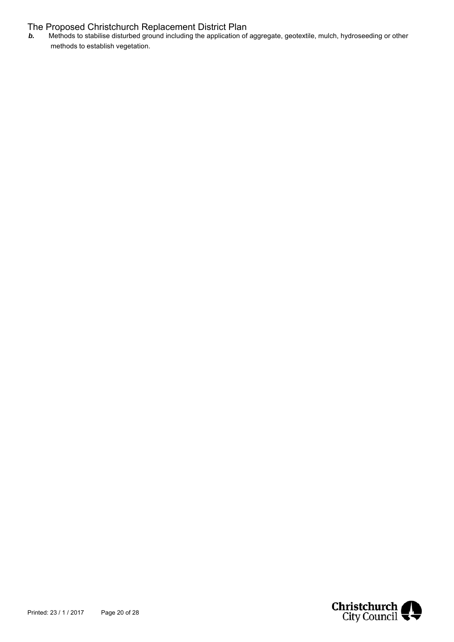*b.* Methods to stabilise disturbed ground including the application of aggregate, geotextile, mulch, hydroseeding or other methods to establish vegetation.

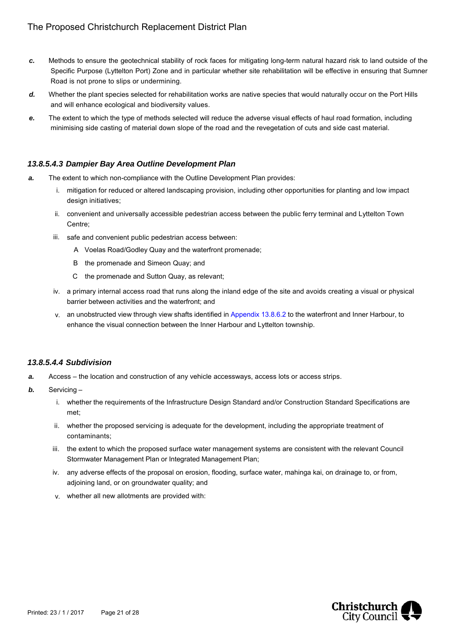- *c.* Methods to ensure the geotechnical stability of rock faces for mitigating long-term natural hazard risk to land outside of the Specific Purpose (Lyttelton Port) Zone and in particular whether site rehabilitation will be effective in ensuring that Sumner Road is not prone to slips or undermining.
- *d.* Whether the plant species selected for rehabilitation works are native species that would naturally occur on the Port Hills and will enhance ecological and biodiversity values.
- *e.* The extent to which the type of methods selected will reduce the adverse visual effects of haul road formation, including minimising side casting of material down slope of the road and the revegetation of cuts and side cast material.

#### *13.8.5.4.3 Dampier Bay Area Outline Development Plan*

- *a.* The extent to which non-compliance with the Outline Development Plan provides:
	- i. mitigation for reduced or altered landscaping provision, including other opportunities for planting and low impact design initiatives:
	- ii. convenient and universally accessible pedestrian access between the public ferry terminal and Lyttelton Town Centre;
	- iii. safe and convenient public pedestrian access between:
		- A Voelas Road/Godley Quay and the waterfront promenade;
		- B the promenade and Simeon Quay; and
		- C the promenade and Sutton Quay, as relevant;
	- iv. a primary internal access road that runs along the inland edge of the site and avoids creating a visual or physical barrier between activities and the waterfront; and
	- v. an unobstructed view through view shafts identified in Appendix 13.8.6.2 to the waterfront and Inner Harbour, to enhance the visual connection between the Inner Harbour and Lyttelton township.

#### *13.8.5.4.4 Subdivision*

- *a.* Access the location and construction of any vehicle accessways, access lots or access strips.
- *b.* Servicing
	- i. whether the requirements of the Infrastructure Design Standard and/or Construction Standard Specifications are met;
	- ii. whether the proposed servicing is adequate for the development, including the appropriate treatment of contaminants;
	- iii. the extent to which the proposed surface water management systems are consistent with the relevant Council Stormwater Management Plan or Integrated Management Plan;
	- iv. any adverse effects of the proposal on erosion, flooding, surface water, mahinga kai, on drainage to, or from, adjoining land, or on groundwater quality; and
	- v. whether all new allotments are provided with:

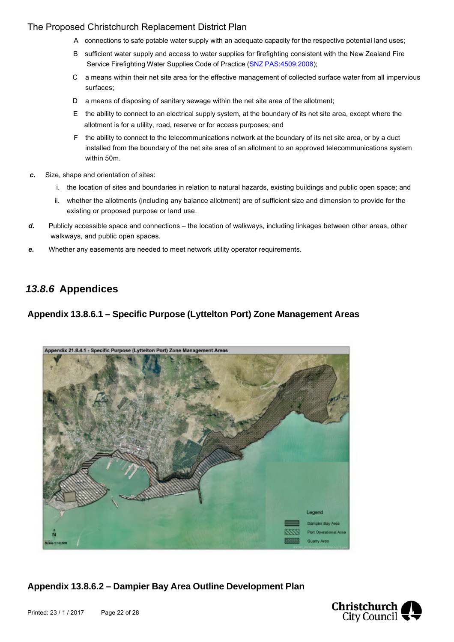- A connections to safe potable water supply with an adequate capacity for the respective potential land uses;
- B sufficient water supply and access to water supplies for firefighting consistent with the New Zealand Fire Service Firefighting Water Supplies Code of Practice (SNZ PAS: 4509: 2008):
- C a means within their net site area for the effective management of collected surface water from all impervious surfaces;
- D a means of disposing of sanitary sewage within the net site area of the allotment;
- E the ability to connect to an electrical supply system, at the boundary of its net site area, except where the allotment is for a utility, road, reserve or for access purposes; and
- F the ability to connect to the telecommunications network at the boundary of its net site area, or by a duct installed from the boundary of the net site area of an allotment to an approved telecommunications system within 50m.
- *c.* Size, shape and orientation of sites:
	- i. the location of sites and boundaries in relation to natural hazards, existing buildings and public open space; and
	- ii. whether the allotments (including any balance allotment) are of sufficient size and dimension to provide for the existing or proposed purpose or land use.
- *d.* Publicly accessible space and connections the location of walkways, including linkages between other areas, other walkways, and public open spaces.
- *e.* Whether any easements are needed to meet network utility operator requirements.

## *13.8.6* **Appendices**

## **Appendix 13.8.6.1 – Specific Purpose (Lyttelton Port) Zone Management Areas**



**Appendix 13.8.6.2 – Dampier Bay Area Outline Development Plan**

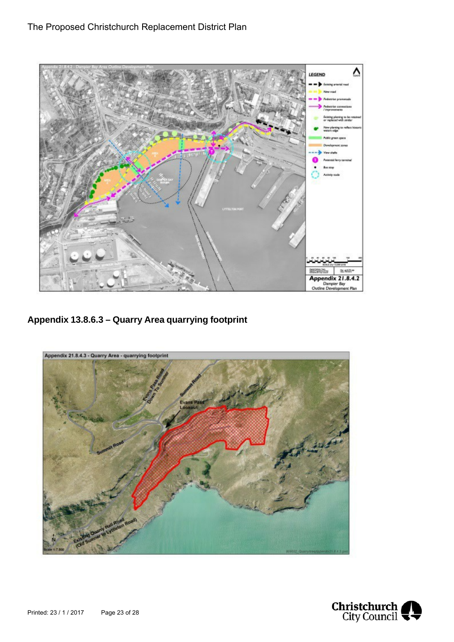

**Appendix 13.8.6.3 – Quarry Area quarrying footprint**



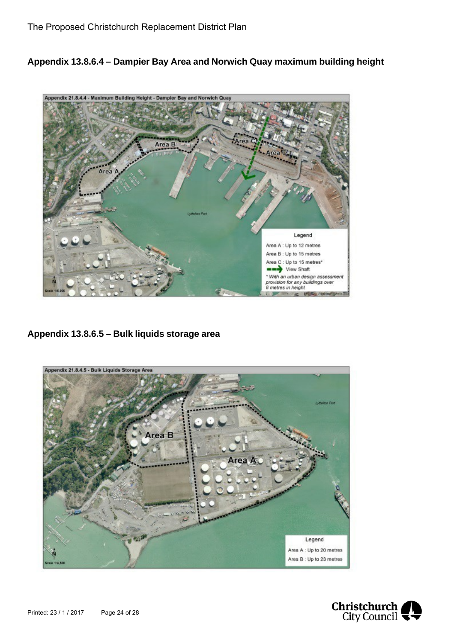**Appendix 13.8.6.4 – Dampier Bay Area and Norwich Quay maximum building height**



**Appendix 13.8.6.5 – Bulk liquids storage area**



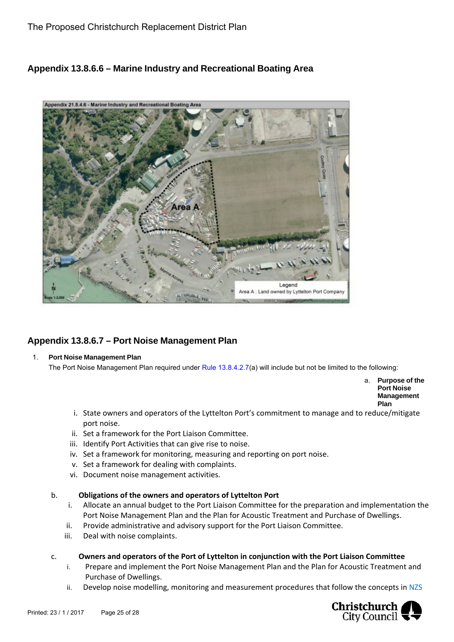## **Appendix 13.8.6.6 – Marine Industry and Recreational Boating Area**



## **Appendix 13.8.6.7 – Port Noise Management Plan**

#### 1. **Port Noise Management Plan**

The Port Noise Management Plan required under Rule 13.8.4.2.7(a) will include but not be limited to the following:

a. **Purpose of the Port Noise Management Plan**

- i. State owners and operators of the Lyttelton Port's commitment to manage and to reduce/mitigate port noise.
- ii. Set a framework for the Port Liaison Committee.
- iii. Identify Port Activities that can give rise to noise.
- iv. Set a framework for monitoring, measuring and reporting on port noise.
- v. Set a framework for dealing with complaints.
- vi. Document noise management activities.

#### b. **Obligations of the owners and operators of Lyttelton Port**

- i. Allocate an annual budget to the Port Liaison Committee for the preparation and implementation the Port Noise Management Plan and the Plan for Acoustic Treatment and Purchase of Dwellings.
- ii. Provide administrative and advisory support for the Port Liaison Committee.
- iii. Deal with noise complaints.

#### c. **Owners and operators of the Port of Lyttelton in conjunction with the Port Liaison Committee**

- i. Prepare and implement the Port Noise Management Plan and the Plan for Acoustic Treatment and Purchase of Dwellings.
- ii. Develop noise modelling, monitoring and measurement procedures that follow the concepts in NZS

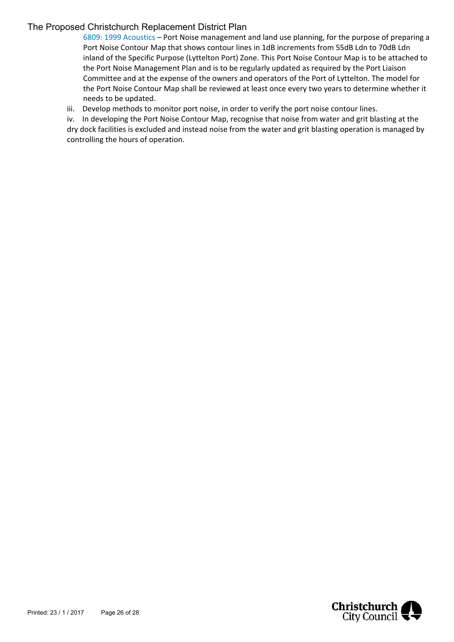6809: 1999 Acoustics – Port Noise management and land use planning, for the purpose of preparing a Port Noise Contour Map that shows contour lines in 1dB increments from 55dB Ldn to 70dB Ldn inland of the Specific Purpose (Lyttelton Port) Zone. This Port Noise Contour Map is to be attached to the Port Noise Management Plan and is to be regularly updated as required by the Port Liaison Committee and at the expense of the owners and operators of the Port of Lyttelton. The model for the Port Noise Contour Map shall be reviewed at least once every two years to determine whether it needs to be updated.

iii. Develop methods to monitor port noise, in order to verify the port noise contour lines.

iv. In developing the Port Noise Contour Map, recognise that noise from water and grit blasting at the dry dock facilities is excluded and instead noise from the water and grit blasting operation is managed by controlling the hours of operation.

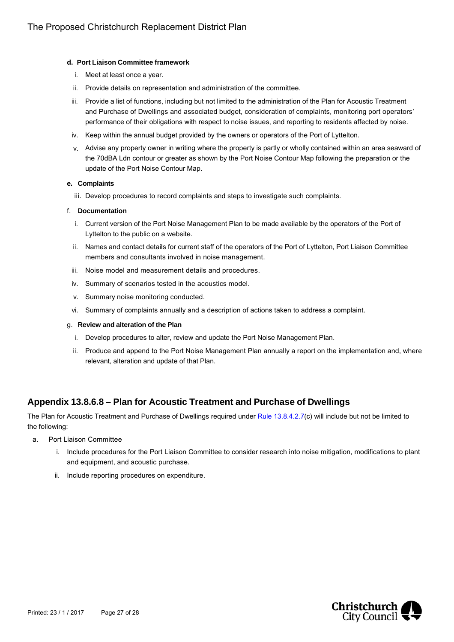#### **d. Port Liaison Committee framework**

- i. Meet at least once a year.
- ii. Provide details on representation and administration of the committee.
- iii. Provide a list of functions, including but not limited to the administration of the Plan for Acoustic Treatment and Purchase of Dwellings and associated budget, consideration of complaints, monitoring port operators' performance of their obligations with respect to noise issues, and reporting to residents affected by noise.
- iv. Keep within the annual budget provided by the owners or operators of the Port of Lyttelton.
- v. Advise any property owner in writing where the property is partly or wholly contained within an area seaward of the 70dBA Ldn contour or greater as shown by the Port Noise Contour Map following the preparation or the update of the Port Noise Contour Map.

#### **e. Complaints**

iii. Develop procedures to record complaints and steps to investigate such complaints.

#### f. **Documentation**

- i. Current version of the Port Noise Management Plan to be made available by the operators of the Port of Lyttelton to the public on a website.
- ii. Names and contact details for current staff of the operators of the Port of Lyttelton, Port Liaison Committee members and consultants involved in noise management.
- iii. Noise model and measurement details and procedures.
- iv. Summary of scenarios tested in the acoustics model.
- v. Summary noise monitoring conducted.
- vi. Summary of complaints annually and a description of actions taken to address a complaint.

#### g. **Review and alteration of the Plan**

- i. Develop procedures to alter, review and update the Port Noise Management Plan.
- ii. Produce and append to the Port Noise Management Plan annually a report on the implementation and, where relevant, alteration and update of that Plan.

## **Appendix 13.8.6.8 – Plan for Acoustic Treatment and Purchase of Dwellings**

The Plan for Acoustic Treatment and Purchase of Dwellings required under Rule 13.8.4.2.7(c) will include but not be limited to the following:

- a. Port Liaison Committee
	- i. Include procedures for the Port Liaison Committee to consider research into noise mitigation, modifications to plant and equipment, and acoustic purchase.
	- ii. Include reporting procedures on expenditure.

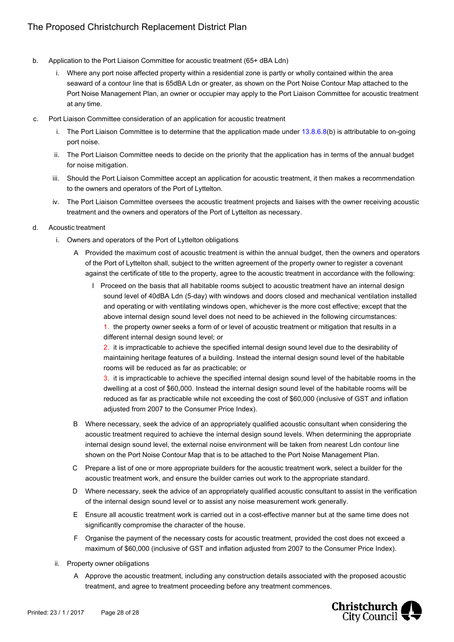- b. Application to the Port Liaison Committee for acoustic treatment (65+ dBA Ldn)
	- i. Where any port noise affected property within a residential zone is partly or wholly contained within the area seaward of a contour line that is 65dBA Ldn or greater, as shown on the Port Noise Contour Map attached to the Port Noise Management Plan, an owner or occupier may apply to the Port Liaison Committee for acoustic treatment at any time.
- c. Port Liaison Committee consideration of an application for acoustic treatment
	- i. The Port Liaison Committee is to determine that the application made under 13.8.6.8(b) is attributable to on-going port noise.
	- ii. The Port Liaison Committee needs to decide on the priority that the application has in terms of the annual budget for noise mitigation.
	- iii. Should the Port Liaison Committee accept an application for acoustic treatment, it then makes a recommendation to the owners and operators of the Port of Lyttelton.
	- iv. The Port Liaison Committee oversees the acoustic treatment projects and liaises with the owner receiving acoustic treatment and the owners and operators of the Port of Lyttelton as necessary.
- d. Acoustic treatment
	- i. Owners and operators of the Port of Lyttelton obligations
		- A Provided the maximum cost of acoustic treatment is within the annual budget, then the owners and operators of the Port of Lyttelton shall, subject to the written agreement of the property owner to register a covenant against the certificate of title to the property, agree to the acoustic treatment in accordance with the following:
			- I Proceed on the basis that all habitable rooms subject to acoustic treatment have an internal design sound level of 40dBA Ldn (5-day) with windows and doors closed and mechanical ventilation installed and operating or with ventilating windows open, whichever is the more cost effective; except that the above internal design sound level does not need to be achieved in the following circumstances:
				- 1. the property owner seeks a form of or level of acoustic treatment or mitigation that results in a different internal design sound level; or

2. it is impracticable to achieve the specified internal design sound level due to the desirability of maintaining heritage features of a building. Instead the internal design sound level of the habitable rooms will be reduced as far as practicable; or

3. it is impracticable to achieve the specified internal design sound level of the habitable rooms in the dwelling at a cost of \$60,000. Instead the internal design sound level of the habitable rooms will be reduced as far as practicable while not exceeding the cost of \$60,000 (inclusive of GST and inflation adjusted from 2007 to the Consumer Price Index).

- B Where necessary, seek the advice of an appropriately qualified acoustic consultant when considering the acoustic treatment required to achieve the internal design sound levels. When determining the appropriate internal design sound level, the external noise environment will be taken from nearest Ldn contour line shown on the Port Noise Contour Map that is to be attached to the Port Noise Management Plan.
- C Prepare a list of one or more appropriate builders for the acoustic treatment work, select a builder for the acoustic treatment work, and ensure the builder carries out work to the appropriate standard.
- D Where necessary, seek the advice of an appropriately qualified acoustic consultant to assist in the verification of the internal design sound level or to assist any noise measurement work generally.
- E Ensure all acoustic treatment work is carried out in a cost-effective manner but at the same time does not significantly compromise the character of the house.
- F Organise the payment of the necessary costs for acoustic treatment, provided the cost does not exceed a maximum of \$60,000 (inclusive of GST and inflation adjusted from 2007 to the Consumer Price Index).
- ii. Property owner obligations
	- A Approve the acoustic treatment, including any construction details associated with the proposed acoustic treatment, and agree to treatment proceeding before any treatment commences.

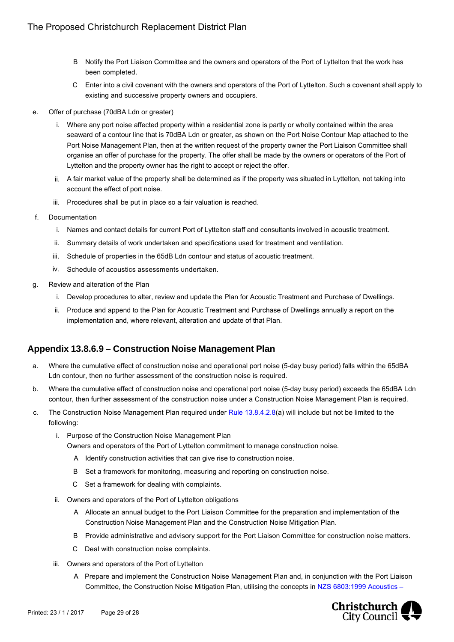- B Notify the Port Liaison Committee and the owners and operators of the Port of Lyttelton that the work has been completed.
- C Enter into a civil covenant with the owners and operators of the Port of Lyttelton. Such a covenant shall apply to existing and successive property owners and occupiers.
- e. Offer of purchase (70dBA Ldn or greater)
	- i. Where any port noise affected property within a residential zone is partly or wholly contained within the area seaward of a contour line that is 70dBA Ldn or greater, as shown on the Port Noise Contour Map attached to the Port Noise Management Plan, then at the written request of the property owner the Port Liaison Committee shall organise an offer of purchase for the property. The offer shall be made by the owners or operators of the Port of Lyttelton and the property owner has the right to accept or reject the offer.
	- ii. A fair market value of the property shall be determined as if the property was situated in Lyttelton, not taking into account the effect of port noise.
	- iii. Procedures shall be put in place so a fair valuation is reached.
- f. Documentation
	- i. Names and contact details for current Port of Lyttelton staff and consultants involved in acoustic treatment.
	- ii. Summary details of work undertaken and specifications used for treatment and ventilation.
	- iii. Schedule of properties in the 65dB Ldn contour and status of acoustic treatment.
	- iv. Schedule of acoustics assessments undertaken.
- g. Review and alteration of the Plan
	- i. Develop procedures to alter, review and update the Plan for Acoustic Treatment and Purchase of Dwellings.
	- ii. Produce and append to the Plan for Acoustic Treatment and Purchase of Dwellings annually a report on the implementation and, where relevant, alteration and update of that Plan.

## **Appendix 13.8.6.9 – Construction Noise Management Plan**

- a. Where the cumulative effect of construction noise and operational port noise (5-day busy period) falls within the 65dBA Ldn contour, then no further assessment of the construction noise is required.
- b. Where the cumulative effect of construction noise and operational port noise (5-day busy period) exceeds the 65dBA Ldn contour, then further assessment of the construction noise under a Construction Noise Management Plan is required.
- c. The Construction Noise Management Plan required under Rule 13.8.4.2.8(a) will include but not be limited to the following:
	- i. Purpose of the Construction Noise Management Plan Owners and operators of the Port of Lyttelton commitment to manage construction noise.
		- A Identify construction activities that can give rise to construction noise.
		- B Set a framework for monitoring, measuring and reporting on construction noise.
		- C Set a framework for dealing with complaints.
	- ii. Owners and operators of the Port of Lyttelton obligations
		- A Allocate an annual budget to the Port Liaison Committee for the preparation and implementation of the Construction Noise Management Plan and the Construction Noise Mitigation Plan.
		- B Provide administrative and advisory support for the Port Liaison Committee for construction noise matters.
		- C Deal with construction noise complaints.
	- iii. Owners and operators of the Port of Lyttelton
		- A Prepare and implement the Construction Noise Management Plan and, in conjunction with the Port Liaison Committee, the Construction Noise Mitigation Plan, utilising the concepts in NZS 6803:1999 Acoustics –

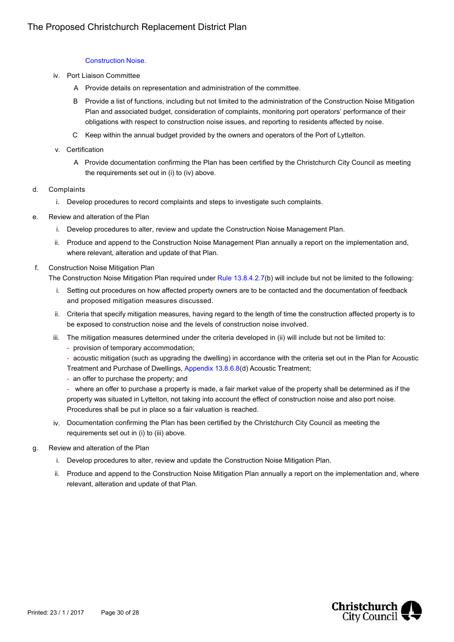#### Construction Noise.

- iv. Port Liaison Committee
	- A Provide details on representation and administration of the committee.
	- B Provide a list of functions, including but not limited to the administration of the Construction Noise Mitigation Plan and associated budget, consideration of complaints, monitoring port operators' performance of their obligations with respect to construction noise issues, and reporting to residents affected by noise.
	- C Keep within the annual budget provided by the owners and operators of the Port of Lyttelton.
- v. Certification
	- A Provide documentation confirming the Plan has been certified by the Christchurch City Council as meeting the requirements set out in (i) to (iv) above.
- d. Complaints
	- i. Develop procedures to record complaints and steps to investigate such complaints.
- e. Review and alteration of the Plan
	- i. Develop procedures to alter, review and update the Construction Noise Management Plan.
	- ii. Produce and append to the Construction Noise Management Plan annually a report on the implementation and, where relevant, alteration and update of that Plan.
- f. Construction Noise Mitigation Plan
	- The Construction Noise Mitigation Plan required under Rule 13.8.4.2.7(b) will include but not be limited to the following:
		- i. Setting out procedures on how affected property owners are to be contacted and the documentation of feedback and proposed mitigation measures discussed.
		- ii. Criteria that specify mitigation measures, having regard to the length of time the construction affected property is to be exposed to construction noise and the levels of construction noise involved.
		- iii. The mitigation measures determined under the criteria developed in (ii) will include but not be limited to:
			- provision of temporary accommodation;
			- acoustic mitigation (such as upgrading the dwelling) in accordance with the criteria set out in the Plan for Acoustic Treatment and Purchase of Dwellings, Appendix 13.8.6.8(d) Acoustic Treatment;
			- an offer to purchase the property; and
			- where an offer to purchase a property is made, a fair market value of the property shall be determined as if the property was situated in Lyttelton, not taking into account the effect of construction noise and also port noise. Procedures shall be put in place so a fair valuation is reached.
		- iv. Documentation confirming the Plan has been certified by the Christchurch City Council as meeting the requirements set out in (i) to (iii) above.
- g. Review and alteration of the Plan
	- i. Develop procedures to alter, review and update the Construction Noise Mitigation Plan.
	- ii. Produce and append to the Construction Noise Mitigation Plan annually a report on the implementation and, where relevant, alteration and update of that Plan.